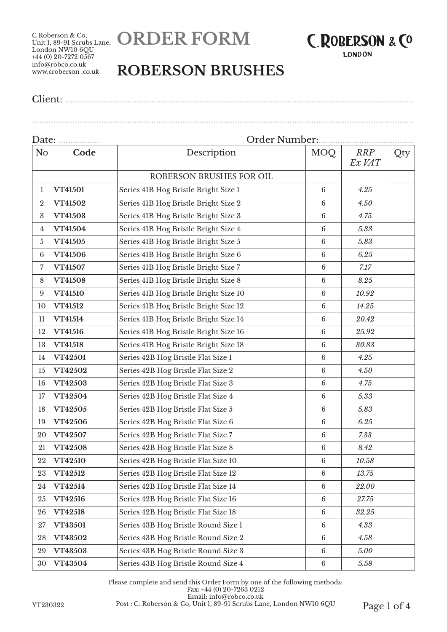C Roberson & Co, Unit 1, 89-91 Scrubs Lane, London NW10 6QU  $+44$  (0) 20-7272 0567 info@robco.co.uk www.croberson .co.uk





## **ROBERSON BRUSHES**

Client: .................................................................................................................................................. ................................................................................................................................................................

| Date:<br>.       |                | Order Number:                         |                 |                      |     |  |
|------------------|----------------|---------------------------------------|-----------------|----------------------|-----|--|
| No               | Code           | Description                           | <b>MOQ</b>      | <b>RRP</b><br>Ex VAT | Qty |  |
|                  |                | ROBERSON BRUSHES FOR OIL              |                 |                      |     |  |
| 1                | VT41501        | Series 41B Hog Bristle Bright Size 1  | 6               | 4.25                 |     |  |
| $\boldsymbol{2}$ | VT41502        | Series 41B Hog Bristle Bright Size 2  | 6               | 4.50                 |     |  |
| 3                | VT41503        | Series 41B Hog Bristle Bright Size 3  | $6\phantom{1}6$ | 4.75                 |     |  |
| 4                | VT41504        | Series 41B Hog Bristle Bright Size 4  | $6\phantom{1}$  | 5.33                 |     |  |
| 5                | VT41505        | Series 41B Hog Bristle Bright Size 5  | $6\phantom{.}6$ | 5.83                 |     |  |
| $\,6\,$          | VT41506        | Series 41B Hog Bristle Bright Size 6  | $6\phantom{.}6$ | 6.25                 |     |  |
| 7                | VT41507        | Series 41B Hog Bristle Bright Size 7  | 6               | 7.17                 |     |  |
| 8                | VT41508        | Series 41B Hog Bristle Bright Size 8  | 6               | 8.25                 |     |  |
| 9                | VT41510        | Series 41B Hog Bristle Bright Size 10 | 6               | 10.92                |     |  |
| 10               | VT41512        | Series 41B Hog Bristle Bright Size 12 | $6\phantom{1}6$ | 14.25                |     |  |
| 11               | VT41514        | Series 41B Hog Bristle Bright Size 14 | $6\phantom{.}6$ | 20.42                |     |  |
| 12               | VT41516        | Series 41B Hog Bristle Bright Size 16 | $6\phantom{.}6$ | 25.92                |     |  |
| 13               | VT41518        | Series 41B Hog Bristle Bright Size 18 | $6\phantom{.}6$ | $30.83\,$            |     |  |
| 14               | <b>VT42501</b> | Series 42B Hog Bristle Flat Size 1    | 6               | 4.25                 |     |  |
| 15               | VT42502        | Series 42B Hog Bristle Flat Size 2    | 6               | 4.50                 |     |  |
| 16               | VT42503        | Series 42B Hog Bristle Flat Size 3    | 6               | 4.75                 |     |  |
| 17               | VT42504        | Series 42B Hog Bristle Flat Size 4    | $6\phantom{1}6$ | 5.33                 |     |  |
| 18               | VT42505        | Series 42B Hog Bristle Flat Size 5    | $6\phantom{.}6$ | 5.83                 |     |  |
| 19               | VT42506        | Series 42B Hog Bristle Flat Size 6    | $6\phantom{.}6$ | 6.25                 |     |  |
| 20               | VT42507        | Series 42B Hog Bristle Flat Size 7    | $6\phantom{.}6$ | 7.33                 |     |  |
| 21               | VT42508        | Series 42B Hog Bristle Flat Size 8    | 6               | 8.42                 |     |  |
| 22               | VT42510        | Series 42B Hog Bristle Flat Size 10   | $\,6\,$         | 10.58                |     |  |
| 23               | VT42512        | Series 42B Hog Bristle Flat Size 12   | $\,6\,$         | 13.75                |     |  |
| 24               | VT42514        | Series 42B Hog Bristle Flat Size 14   | $6\phantom{.}6$ | 22.00                |     |  |
| 25               | VT42516        | Series 42B Hog Bristle Flat Size 16   | $6\phantom{.}6$ | 27.75                |     |  |
| 26               | VT42518        | Series 42B Hog Bristle Flat Size 18   | $6\phantom{.}6$ | 32.25                |     |  |
| 27               | VT43501        | Series 43B Hog Bristle Round Size 1   | $6\phantom{.}6$ | 4.33                 |     |  |
| 28               | VT43502        | Series 43B Hog Bristle Round Size 2   | $\sqrt{6}$      | 4.58                 |     |  |
| 29               | VT43503        | Series 43B Hog Bristle Round Size 3   | 6               | 5.00                 |     |  |
| 30               | VT43504        | Series 43B Hog Bristle Round Size 4   | 6               | 5.58                 |     |  |

Please complete and send this Order Form by one of the following methods: Fax: +44 (0) 20-7263 0212 Email: info@robco.co.uk YT230322 Post : C. Roberson & Co, Unit 1, 89-91 Scrubs Lane, London NW10 6QU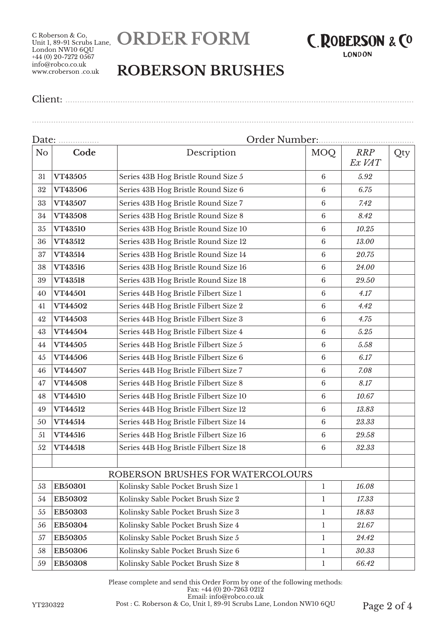C Roberson & Co, Unit 1, 89-91 Scrubs Lane, London NW10 6QU  $+44$  (0) 20-7272 0567 info@robco.co.uk www.croberson .co.uk





## **ROBERSON BRUSHES**

Client: ..................................................................................................................................................

................................................................................................................................................................

| Date: <u></u> |         | Order Number:                          |                 |                      |     |  |
|---------------|---------|----------------------------------------|-----------------|----------------------|-----|--|
| No            | Code    | Description                            | MOQ             | <b>RRP</b><br>Ex VAT | Qty |  |
| 31            | VT43505 | Series 43B Hog Bristle Round Size 5    | 6               | 5.92                 |     |  |
| 32            | VT43506 | Series 43B Hog Bristle Round Size 6    | $6\phantom{1}6$ | 6.75                 |     |  |
| 33            | VT43507 | Series 43B Hog Bristle Round Size 7    | 6               | 7.42                 |     |  |
| 34            | VT43508 | Series 43B Hog Bristle Round Size 8    | $\,6\,$         | 8.42                 |     |  |
| 35            | VT43510 | Series 43B Hog Bristle Round Size 10   | $6\phantom{1}6$ | 10.25                |     |  |
| 36            | VT43512 | Series 43B Hog Bristle Round Size 12   | $6\phantom{.}6$ | 13.00                |     |  |
| 37            | VT43514 | Series 43B Hog Bristle Round Size 14   | $6\phantom{1}6$ | 20.75                |     |  |
| 38            | VT43516 | Series 43B Hog Bristle Round Size 16   | $6\phantom{1}6$ | 24.00                |     |  |
| 39            | VT43518 | Series 43B Hog Bristle Round Size 18   | 6               | 29.50                |     |  |
| 40            | VT44501 | Series 44B Hog Bristle Filbert Size 1  | 6               | 4.17                 |     |  |
| 41            | VT44502 | Series 44B Hog Bristle Filbert Size 2  | $\,6\,$         | 4.42                 |     |  |
| 42            | VT44503 | Series 44B Hog Bristle Filbert Size 3  | 6               | 4.75                 |     |  |
| 43            | VT44504 | Series 44B Hog Bristle Filbert Size 4  | $6\phantom{1}6$ | 5.25                 |     |  |
| 44            | VT44505 | Series 44B Hog Bristle Filbert Size 5  | $6\phantom{1}6$ | 5.58                 |     |  |
| 45            | VT44506 | Series 44B Hog Bristle Filbert Size 6  | $6\phantom{1}6$ | 6.17                 |     |  |
| 46            | VT44507 | Series 44B Hog Bristle Filbert Size 7  | 6               | 7.08                 |     |  |
| 47            | VT44508 | Series 44B Hog Bristle Filbert Size 8  | 6               | 8.17                 |     |  |
| 48            | VT44510 | Series 44B Hog Bristle Filbert Size 10 | $\,6\,$         | 10.67                |     |  |
| 49            | VT44512 | Series 44B Hog Bristle Filbert Size 12 | 6               | 13.83                |     |  |
| 50            | VT44514 | Series 44B Hog Bristle Filbert Size 14 | $6\phantom{.}6$ | 23.33                |     |  |
| 51            | VT44516 | Series 44B Hog Bristle Filbert Size 16 | $6\phantom{.}6$ | 29.58                |     |  |
| 52            | VT44518 | Series 44B Hog Bristle Filbert Size 18 | $\sqrt{6}$      | 32.33                |     |  |
|               |         |                                        |                 |                      |     |  |
|               |         | ROBERSON BRUSHES FOR WATERCOLOURS      |                 |                      |     |  |
| 53            | EB50301 | Kolinsky Sable Pocket Brush Size 1     | 1               | 16.08                |     |  |
| 54            | EB50302 | Kolinsky Sable Pocket Brush Size 2     | 1               | 17.33                |     |  |
| 55            | EB50303 | Kolinsky Sable Pocket Brush Size 3     | $\mathbf{1}$    | 18.83                |     |  |
| 56            | EB50304 | Kolinsky Sable Pocket Brush Size 4     | 1               | 21.67                |     |  |
| 57            | EB50305 | Kolinsky Sable Pocket Brush Size 5     | $\mathbf{1}$    | 24.42                |     |  |
| 58            | EB50306 | Kolinsky Sable Pocket Brush Size 6     | $\mathbf{1}$    | 30.33                |     |  |
| 59            | EB50308 | Kolinsky Sable Pocket Brush Size 8     | $\mathbf 1$     | 66.42                |     |  |

Please complete and send this Order Form by one of the following methods: Fax: +44 (0) 20-7263 0212 Email: info@robco.co.uk YT230322 Post : C. Roberson & Co, Unit 1, 89-91 Scrubs Lane, London NW10 6QU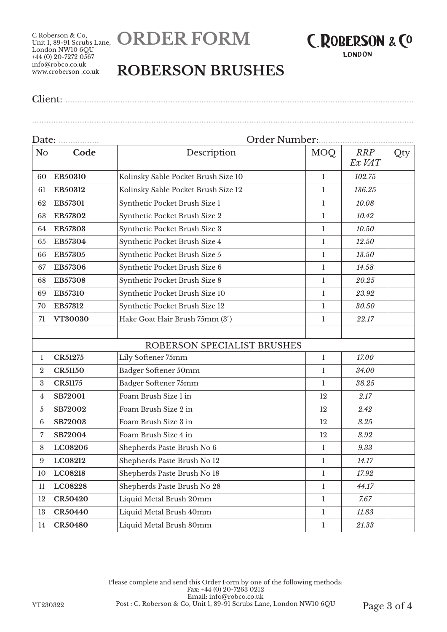C Roberson & Co, Unit 1, 89-91 Scrubs Lane, London NW10 6QU  $+44(0)$  20-7272 0567 info@robco.co.uk www.croberson .co.uk





## **ROBERSON BRUSHES**

Client: ..................................................................................................................................................

................................................................................................................................................................

| Date:            |                |                                     |              |                      |     |  |
|------------------|----------------|-------------------------------------|--------------|----------------------|-----|--|
| N <sub>o</sub>   | Code           | Description                         | MOQ          | <b>RRP</b><br>Ex VAT | Qty |  |
| 60               | EB50310        | Kolinsky Sable Pocket Brush Size 10 | 1            | 102.75               |     |  |
| 61               | EB50312        | Kolinsky Sable Pocket Brush Size 12 | 1            | 136.25               |     |  |
| 62               | EB57301        | Synthetic Pocket Brush Size 1       | 1            | 10.08                |     |  |
| 63               | EB57302        | Synthetic Pocket Brush Size 2       | $\mathbf{1}$ | 10.42                |     |  |
| 64               | EB57303        | Synthetic Pocket Brush Size 3       | $\mathbf{1}$ | 10.50                |     |  |
| 65               | EB57304        | Synthetic Pocket Brush Size 4       | $\mathbf{1}$ | 12.50                |     |  |
| 66               | EB57305        | Synthetic Pocket Brush Size 5       | $\mathbf{1}$ | 13.50                |     |  |
| 67               | EB57306        | Synthetic Pocket Brush Size 6       | $\mathbf{1}$ | 14.58                |     |  |
| 68               | EB57308        | Synthetic Pocket Brush Size 8       | $\mathbf{1}$ | 20.25                |     |  |
| 69               | EB57310        | Synthetic Pocket Brush Size 10      | 1            | 23.92                |     |  |
| 70               | EB57312        | Synthetic Pocket Brush Size 12      | 1            | 30.50                |     |  |
| 71               | VT30030        | Hake Goat Hair Brush 75mm (3")      | 1            | 22.17                |     |  |
|                  |                |                                     |              |                      |     |  |
|                  |                | ROBERSON SPECIALIST BRUSHES         |              |                      |     |  |
| 1                | <b>CR51275</b> | Lily Softener 75mm                  | $\mathbf{1}$ | 17.00                |     |  |
| $\boldsymbol{2}$ | <b>CR51150</b> | Badger Softener 50mm                | 1            | 34.00                |     |  |
| $\boldsymbol{3}$ | <b>CR51175</b> | Badger Softener 75mm                | 1            | 38.25                |     |  |
| 4                | <b>SB72001</b> | Foam Brush Size 1 in                | 12           | 2.17                 |     |  |
| $\sqrt{5}$       | SB72002        | Foam Brush Size 2 in                | 12           | 2.42                 |     |  |
| $6\phantom{.}6$  | SB72003        | Foam Brush Size 3 in                | 12           | 3.25                 |     |  |
| $\overline{7}$   | SB72004        | Foam Brush Size 4 in                | 12           | 3.92                 |     |  |
| 8                | LC08206        | Shepherds Paste Brush No 6          | $\mathbf{1}$ | 9.33                 |     |  |
| 9                | LC08212        | Shepherds Paste Brush No 12         | 1            | 14.17                |     |  |
| 10               | LC08218        | Shepherds Paste Brush No 18         | 1            | 17.92                |     |  |
| 11               | LC08228        | Shepherds Paste Brush No 28         | $\mathbf{1}$ | 44.17                |     |  |
| 12               | <b>CR50420</b> | Liquid Metal Brush 20mm             | $\mathbf{1}$ | 7.67                 |     |  |
| 13               | <b>CR50440</b> | Liquid Metal Brush 40mm             | $\mathbf{1}$ | 11.83                |     |  |
| 14               | <b>CR50480</b> | Liquid Metal Brush 80mm             | $\mathbf{1}$ | 21.33                |     |  |